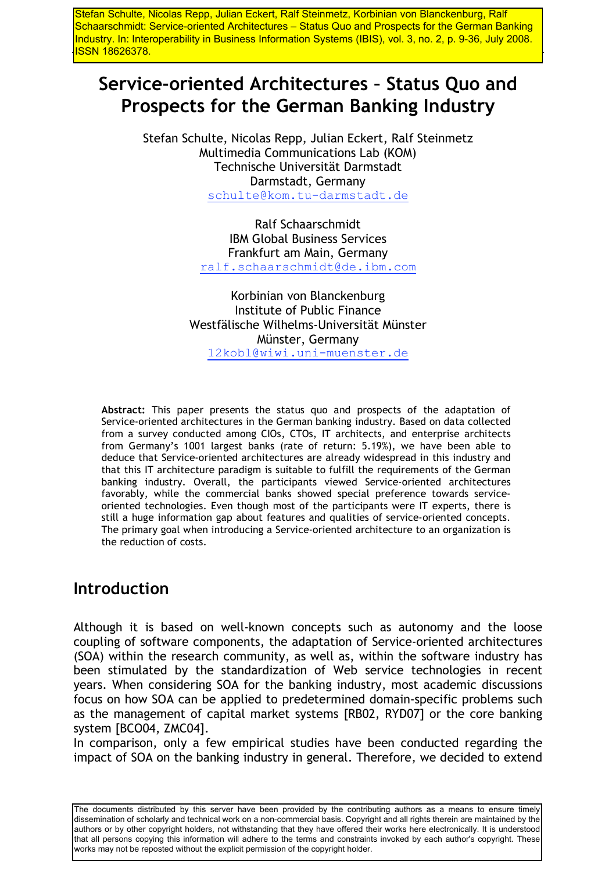Stefan Schulte, Nicolas Repp, Julian Eckert, Ralf Steinmetz, Korbinian von Blanckenburg, Ralf Schaarschmidt: Service-oriented Architectures - Status Quo and Prospects for the German Banking Industry. In: Interoperability in Business Information Systems (IBIS), vol. 3, no. 2, p. 9-36, July 2008. <u>ISSN 18626378.</u>

# Service-oriented Architectures - Status Quo and Prospects for the German Banking Industry

Stefan Schulte, Nicolas Repp, Julian Eckert, Ralf Steinmetz Multimedia Communications Lab (KOM) Technische Universität Darmstadt Darmstadt, Germany schulte@kom.tu-darmstadt.de

> Ralf Schaarschmidt **IBM Global Business Services** Frankfurt am Main, Germany ralf.schaarschmidt@de.ibm.com

Korbinian von Blanckenburg Institute of Public Finance Westfälische Wilhelms-Universität Münster Münster, Germany 12kobl@wiwi.uni-muenster.de

Abstract: This paper presents the status quo and prospects of the adaptation of Service-oriented architectures in the German banking industry. Based on data collected from a survey conducted among CIOs, CTOs, IT architects, and enterprise architects from Germany's 1001 largest banks (rate of return: 5.19%), we have been able to deduce that Service-oriented architectures are already widespread in this industry and that this IT architecture paradigm is suitable to fulfill the requirements of the German banking industry. Overall, the participants viewed Service-oriented architectures favorably, while the commercial banks showed special preference towards serviceoriented technologies. Even though most of the participants were IT experts, there is still a huge information gap about features and qualities of service-oriented concepts. The primary goal when introducing a Service-oriented architecture to an organization is the reduction of costs.

## **Introduction**

Although it is based on well-known concepts such as autonomy and the loose coupling of software components, the adaptation of Service-oriented architectures (SOA) within the research community, as well as, within the software industry has been stimulated by the standardization of Web service technologies in recent years. When considering SOA for the banking industry, most academic discussions focus on how SOA can be applied to predetermined domain-specific problems such as the management of capital market systems [RB02, RYD07] or the core banking system [BCO04, ZMC04].

In comparison, only a few empirical studies have been conducted regarding the impact of SOA on the banking industry in general. Therefore, we decided to extend

The documents distributed by this server have been provided by the contributing authors as a means to ensure timely dissemination of scholarly and technical work on a non-commercial basis. Copyright and all rights therein are maintained by the authors or by other copyright holders, not withstanding that they have offered their works here electronically. It is understood that all persons copying this information will adhere to the terms and constraints invoked by each author's copyright. These works may not be reposted without the explicit permission of the copyright holder.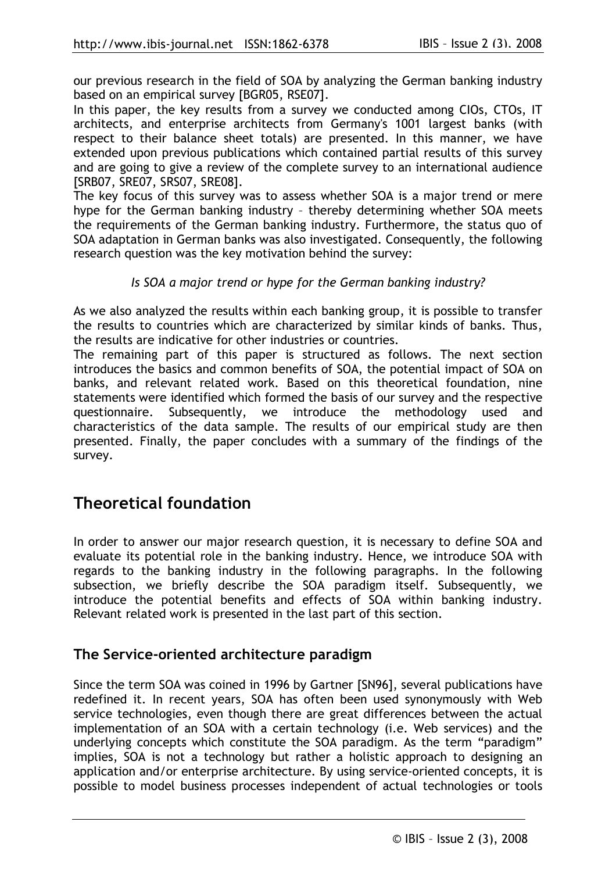our previous research in the field of SOA by analyzing the German banking industry based on an empirical survey [BGR05, RSE07].

In this paper, the key results from a survey we conducted among CIOs, CTOs, IT architects, and enterprise architects from Germany's 1001 largest banks (with respect to their balance sheet totals) are presented. In this manner, we have extended upon previous publications which contained partial results of this survey and are going to give a review of the complete survey to an international audience [SRB07, SRE07, SRS07, SRE08].

The key focus of this survey was to assess whether SOA is a major trend or mere hype for the German banking industry - thereby determining whether SOA meets the requirements of the German banking industry. Furthermore, the status quo of SOA adaptation in German banks was also investigated. Consequently, the following research question was the key motivation behind the survey:

#### Is SOA a major trend or hype for the German banking industry?

As we also analyzed the results within each banking group, it is possible to transfer the results to countries which are characterized by similar kinds of banks. Thus, the results are indicative for other industries or countries.

The remaining part of this paper is structured as follows. The next section introduces the basics and common benefits of SOA, the potential impact of SOA on banks, and relevant related work. Based on this theoretical foundation, nine statements were identified which formed the basis of our survey and the respective Subsequently, we introduce the methodology questionnaire. used and characteristics of the data sample. The results of our empirical study are then presented. Finally, the paper concludes with a summary of the findings of the survey.

## **Theoretical foundation**

In order to answer our major research question, it is necessary to define SOA and evaluate its potential role in the banking industry. Hence, we introduce SOA with regards to the banking industry in the following paragraphs. In the following subsection, we briefly describe the SOA paradigm itself. Subsequently, we introduce the potential benefits and effects of SOA within banking industry. Relevant related work is presented in the last part of this section.

### The Service-oriented architecture paradigm

Since the term SOA was coined in 1996 by Gartner [SN96], several publications have redefined it. In recent years, SOA has often been used synonymously with Web service technologies, even though there are great differences between the actual implementation of an SOA with a certain technology (i.e. Web services) and the underlying concepts which constitute the SOA paradigm. As the term "paradigm" implies, SOA is not a technology but rather a holistic approach to designing an application and/or enterprise architecture. By using service-oriented concepts, it is possible to model business processes independent of actual technologies or tools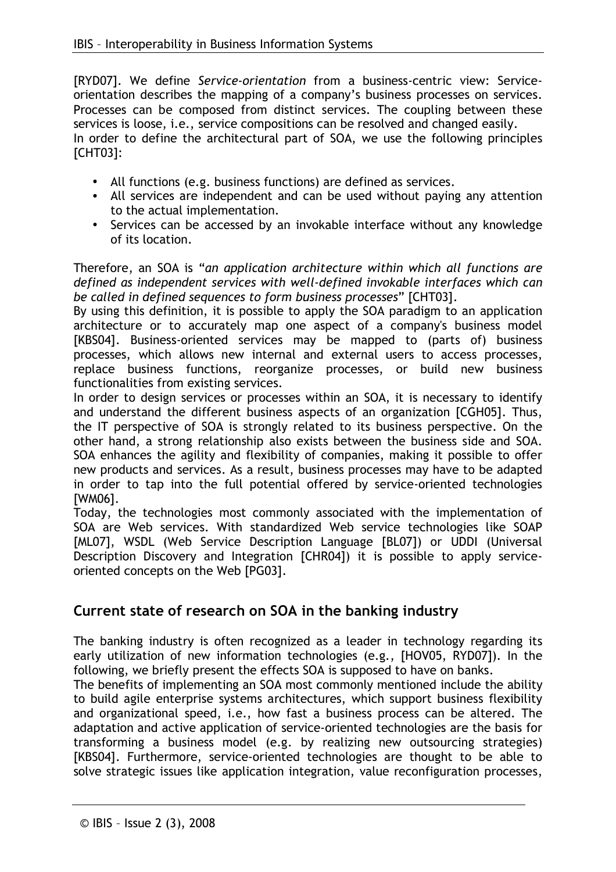[RYD07]. We define Service-orientation from a business-centric view: Serviceorientation describes the mapping of a company's business processes on services. Processes can be composed from distinct services. The coupling between these services is loose, i.e., service compositions can be resolved and changed easily. In order to define the architectural part of SOA, we use the following principles **[CHT03]:** 

- All functions (e.g. business functions) are defined as services.
- All services are independent and can be used without paying any attention to the actual implementation.
- Services can be accessed by an invokable interface without any knowledge of its location.

Therefore, an SOA is "an application architecture within which all functions are defined as independent services with well-defined invokable interfaces which can be called in defined sequences to form business processes" [CHT03].

By using this definition, it is possible to apply the SOA paradigm to an application architecture or to accurately map one aspect of a company's business model [KBS04]. Business-oriented services may be mapped to (parts of) business processes, which allows new internal and external users to access processes, replace business functions, reorganize processes, or build new business functionalities from existing services.

In order to design services or processes within an SOA, it is necessary to identify and understand the different business aspects of an organization [CGH05]. Thus, the IT perspective of SOA is strongly related to its business perspective. On the other hand, a strong relationship also exists between the business side and SOA. SOA enhances the agility and flexibility of companies, making it possible to offer new products and services. As a result, business processes may have to be adapted in order to tap into the full potential offered by service-oriented technologies [WM06].

Today, the technologies most commonly associated with the implementation of SOA are Web services. With standardized Web service technologies like SOAP [ML07], WSDL (Web Service Description Language [BL07]) or UDDI (Universal Description Discovery and Integration [CHR04]) it is possible to apply serviceoriented concepts on the Web [PG03].

### Current state of research on SOA in the banking industry

The banking industry is often recognized as a leader in technology regarding its early utilization of new information technologies (e.g., [HOV05, RYD07]). In the following, we briefly present the effects SOA is supposed to have on banks.

The benefits of implementing an SOA most commonly mentioned include the ability to build agile enterprise systems architectures, which support business flexibility and organizational speed, i.e., how fast a business process can be altered. The adaptation and active application of service-oriented technologies are the basis for transforming a business model (e.g. by realizing new outsourcing strategies) [KBS04]. Furthermore, service-oriented technologies are thought to be able to solve strategic issues like application integration, value reconfiguration processes,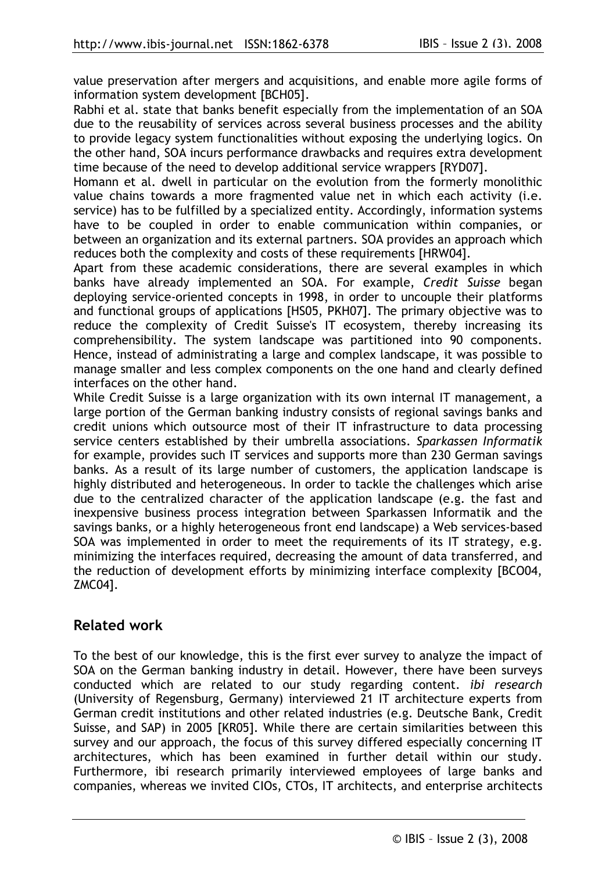value preservation after mergers and acquisitions, and enable more agile forms of information system development [BCH05].

Rabhi et al. state that banks benefit especially from the implementation of an SOA due to the reusability of services across several business processes and the ability to provide legacy system functionalities without exposing the underlying logics. On the other hand, SOA incurs performance drawbacks and requires extra development time because of the need to develop additional service wrappers [RYD07].

Homann et al. dwell in particular on the evolution from the formerly monolithic value chains towards a more fragmented value net in which each activity (i.e. service) has to be fulfilled by a specialized entity. Accordingly, information systems have to be coupled in order to enable communication within companies, or between an organization and its external partners. SOA provides an approach which reduces both the complexity and costs of these requirements [HRW04].

Apart from these academic considerations, there are several examples in which banks have already implemented an SOA. For example, Credit Suisse began deploying service-oriented concepts in 1998, in order to uncouple their platforms and functional groups of applications [HS05, PKH07]. The primary objective was to reduce the complexity of Credit Suisse's IT ecosystem, thereby increasing its comprehensibility. The system landscape was partitioned into 90 components. Hence, instead of administrating a large and complex landscape, it was possible to manage smaller and less complex components on the one hand and clearly defined interfaces on the other hand.

While Credit Suisse is a large organization with its own internal IT management, a large portion of the German banking industry consists of regional savings banks and credit unions which outsource most of their IT infrastructure to data processing service centers established by their umbrella associations. Sparkassen Informatik for example, provides such IT services and supports more than 230 German savings banks. As a result of its large number of customers, the application landscape is highly distributed and heterogeneous. In order to tackle the challenges which arise due to the centralized character of the application landscape (e.g. the fast and inexpensive business process integration between Sparkassen Informatik and the savings banks, or a highly heterogeneous front end landscape) a Web services-based SOA was implemented in order to meet the requirements of its IT strategy, e.g. minimizing the interfaces required, decreasing the amount of data transferred, and the reduction of development efforts by minimizing interface complexity [BCO04, ZMC041.

### **Related work**

To the best of our knowledge, this is the first ever survey to analyze the impact of SOA on the German banking industry in detail. However, there have been surveys conducted which are related to our study regarding content. *ibi research* (University of Regensburg, Germany) interviewed 21 IT architecture experts from German credit institutions and other related industries (e.g. Deutsche Bank, Credit Suisse, and SAP) in 2005 [KR05]. While there are certain similarities between this survey and our approach, the focus of this survey differed especially concerning IT architectures, which has been examined in further detail within our study. Furthermore, ibi research primarily interviewed employees of large banks and companies, whereas we invited CIOs, CTOs, IT architects, and enterprise architects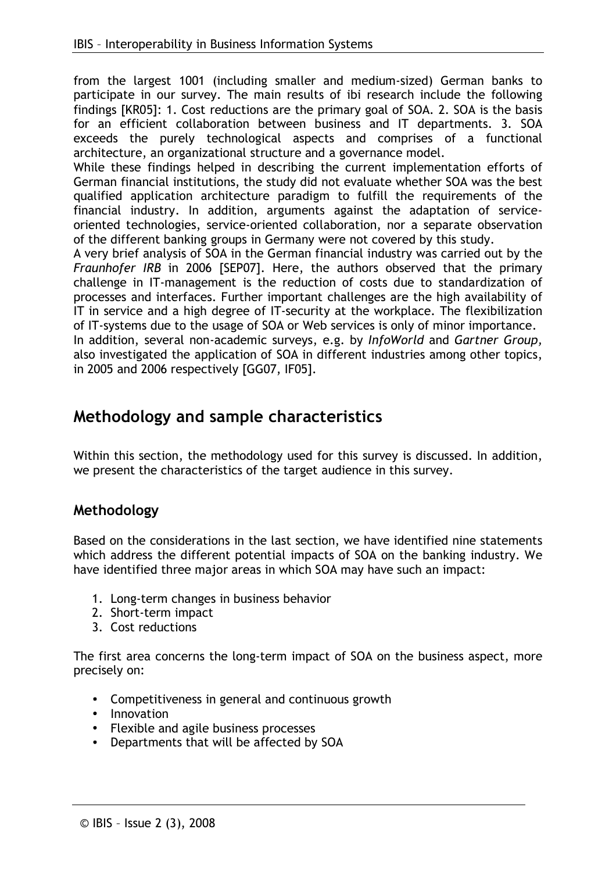from the largest 1001 (including smaller and medium-sized) German banks to participate in our survey. The main results of ibi research include the following findings [KR05]: 1. Cost reductions are the primary goal of SOA. 2. SOA is the basis for an efficient collaboration between business and IT departments. 3. SOA exceeds the purely technological aspects and comprises of a functional architecture, an organizational structure and a governance model.

While these findings helped in describing the current implementation efforts of German financial institutions, the study did not evaluate whether SOA was the best qualified application architecture paradigm to fulfill the requirements of the financial industry. In addition, arguments against the adaptation of serviceoriented technologies, service-oriented collaboration, nor a separate observation of the different banking groups in Germany were not covered by this study.

A very brief analysis of SOA in the German financial industry was carried out by the Fraunhofer IRB in 2006 [SEP07]. Here, the authors observed that the primary challenge in IT-management is the reduction of costs due to standardization of processes and interfaces. Further important challenges are the high availability of IT in service and a high degree of IT-security at the workplace. The flexibilization of IT-systems due to the usage of SOA or Web services is only of minor importance. In addition, several non-academic surveys, e.g. by InfoWorld and Gartner Group,

also investigated the application of SOA in different industries among other topics, in 2005 and 2006 respectively [GG07, IF05].

## Methodology and sample characteristics

Within this section, the methodology used for this survey is discussed. In addition, we present the characteristics of the target audience in this survey.

### Methodology

Based on the considerations in the last section, we have identified nine statements which address the different potential impacts of SOA on the banking industry. We have identified three major areas in which SOA may have such an impact:

- 1. Long-term changes in business behavior
- 2. Short-term impact
- 3. Cost reductions

The first area concerns the long-term impact of SOA on the business aspect, more precisely on:

- Competitiveness in general and continuous growth
- Innovation
- Flexible and agile business processes
- Departments that will be affected by SOA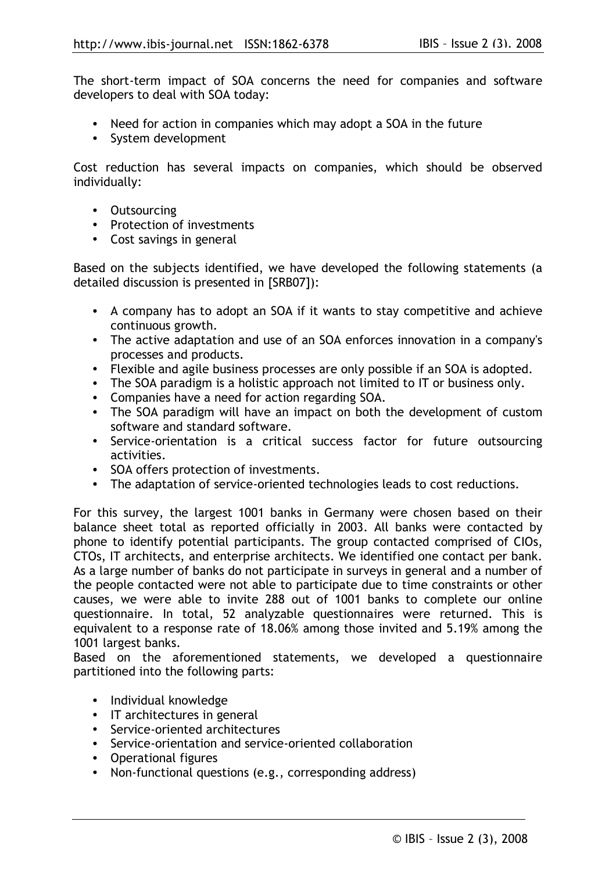The short-term impact of SOA concerns the need for companies and software developers to deal with SOA today:

- Need for action in companies which may adopt a SOA in the future
- System development

Cost reduction has several impacts on companies, which should be observed individually:

- Outsourcing
- Protection of investments
- Cost savings in general

Based on the subjects identified, we have developed the following statements (a detailed discussion is presented in [SRB07]):

- A company has to adopt an SOA if it wants to stay competitive and achieve continuous growth.
- The active adaptation and use of an SOA enforces innovation in a company's processes and products.
- Flexible and agile business processes are only possible if an SOA is adopted.
- The SOA paradigm is a holistic approach not limited to IT or business only.
- Companies have a need for action regarding SOA.
- The SOA paradigm will have an impact on both the development of custom software and standard software.
- Service-orientation is a critical success factor for future outsourcing activities.
- SOA offers protection of investments.
- The adaptation of service-oriented technologies leads to cost reductions.

For this survey, the largest 1001 banks in Germany were chosen based on their balance sheet total as reported officially in 2003. All banks were contacted by phone to identify potential participants. The group contacted comprised of CIOs, CTOs, IT architects, and enterprise architects. We identified one contact per bank. As a large number of banks do not participate in surveys in general and a number of the people contacted were not able to participate due to time constraints or other causes, we were able to invite 288 out of 1001 banks to complete our online questionnaire. In total, 52 analyzable questionnaires were returned. This is equivalent to a response rate of 18.06% among those invited and 5.19% among the 1001 largest banks.

Based on the aforementioned statements, we developed a questionnaire partitioned into the following parts:

- · Individual knowledge
- IT architectures in general
- Service-oriented architectures
- Service-orientation and service-oriented collaboration
- Operational figures
- Non-functional questions (e.g., corresponding address)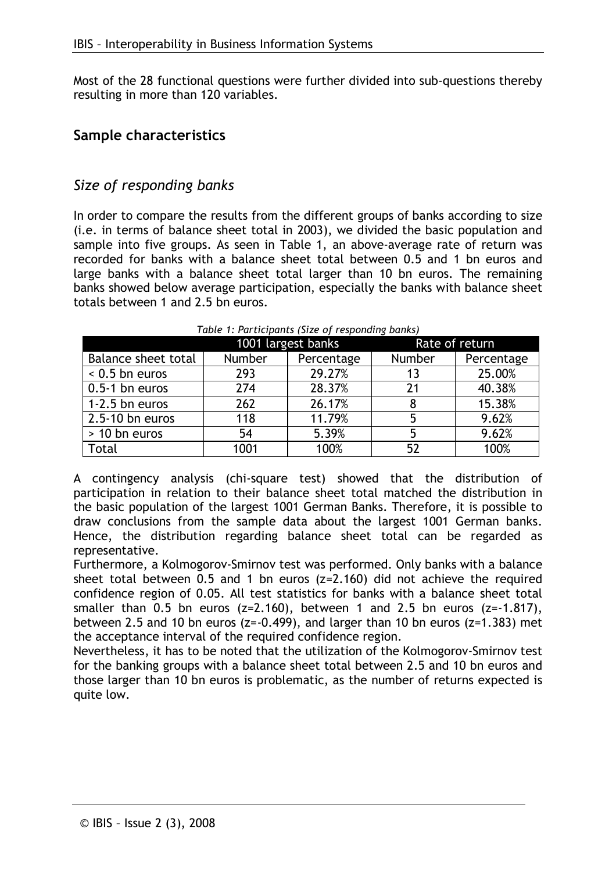Most of the 28 functional questions were further divided into sub-questions thereby resulting in more than 120 variables.

### **Sample characteristics**

### Size of responding banks

In order to compare the results from the different groups of banks according to size (i.e. in terms of balance sheet total in 2003), we divided the basic population and sample into five groups. As seen in Table 1, an above-average rate of return was recorded for banks with a balance sheet total between 0.5 and 1 bn euros and large banks with a balance sheet total larger than 10 bn euros. The remaining banks showed below average participation, especially the banks with balance sheet totals between 1 and 2.5 bn euros.

|                            | 1001 largest banks |            | Rate of return |            |
|----------------------------|--------------------|------------|----------------|------------|
| <b>Balance sheet total</b> | <b>Number</b>      | Percentage | Number         | Percentage |
| $< 0.5$ bn euros           | 293                | 29.27%     | 13             | 25.00%     |
| 0.5-1 bn euros             | 274                | 28.37%     | 21             | 40.38%     |
| 1-2.5 bn euros             | 262                | 26.17%     | 8              | 15.38%     |
| 2.5-10 bn euros            | 118                | 11.79%     | 5              | 9.62%      |
| > 10 bn euros              | 54                 | 5.39%      | 5              | 9.62%      |
| <b>Total</b>               | 1001               | 100%       | 52             | 100%       |

#### Table 1: Participants (Size of responding banks)

A contingency analysis (chi-square test) showed that the distribution of participation in relation to their balance sheet total matched the distribution in the basic population of the largest 1001 German Banks. Therefore, it is possible to draw conclusions from the sample data about the largest 1001 German banks. Hence, the distribution regarding balance sheet total can be regarded as representative.

Furthermore, a Kolmogorov-Smirnov test was performed. Only banks with a balance sheet total between 0.5 and 1 bn euros  $(z=2.160)$  did not achieve the required confidence region of 0.05. All test statistics for banks with a balance sheet total smaller than 0.5 bn euros ( $z=2.160$ ), between 1 and 2.5 bn euros ( $z=-1.817$ ), between 2.5 and 10 bn euros  $(z=-0.499)$ , and larger than 10 bn euros ( $z=1.383$ ) met the acceptance interval of the required confidence region.

Nevertheless, it has to be noted that the utilization of the Kolmogorov-Smirnov test for the banking groups with a balance sheet total between 2.5 and 10 bn euros and those larger than 10 bn euros is problematic, as the number of returns expected is quite low.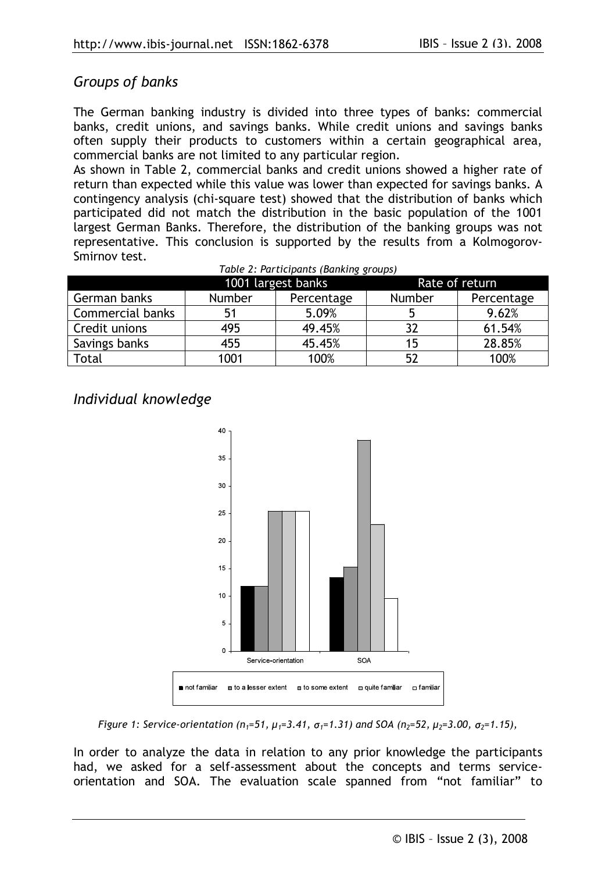### Groups of banks

The German banking industry is divided into three types of banks: commercial banks, credit unions, and savings banks. While credit unions and savings banks often supply their products to customers within a certain geographical area, commercial banks are not limited to any particular region.

As shown in Table 2, commercial banks and credit unions showed a higher rate of return than expected while this value was lower than expected for savings banks. A contingency analysis (chi-square test) showed that the distribution of banks which participated did not match the distribution in the basic population of the 1001 largest German Banks. Therefore, the distribution of the banking groups was not representative. This conclusion is supported by the results from a Kolmogorov-Smirnov test.

|                         | 1001 largest banks |            | Rate of return |            |  |
|-------------------------|--------------------|------------|----------------|------------|--|
| German banks            | Number             | Percentage | Number         | Percentage |  |
| <b>Commercial banks</b> | 51                 | 5.09%      |                | 9.62%      |  |
| Credit unions           | 495                | 49.45%     | 37             | 61.54%     |  |
| Savings banks           | 455                | 45.45%     | 15             | 28.85%     |  |
| Total                   | 1001               | 100%       | 52             | 100%       |  |

Table 2: Participants (Banking groups)

Individual knowledge



Figure 1: Service-orientation (n<sub>1</sub>=51,  $\mu_1$ =3.41,  $\sigma_1$ =1.31) and SOA (n<sub>2</sub>=52,  $\mu_2$ =3.00,  $\sigma_2$ =1.15),

In order to analyze the data in relation to any prior knowledge the participants had, we asked for a self-assessment about the concepts and terms serviceorientation and SOA. The evaluation scale spanned from "not familiar" to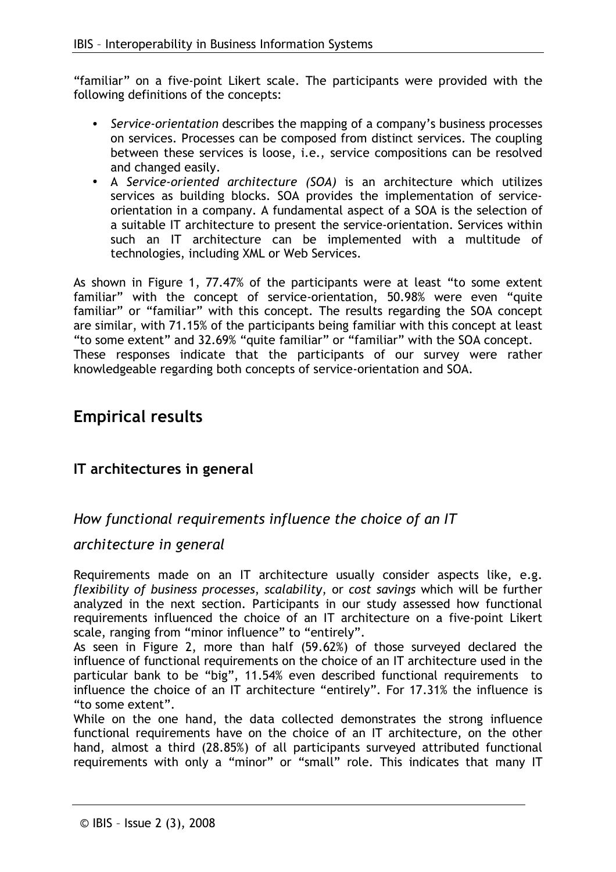"familiar" on a five-point Likert scale. The participants were provided with the following definitions of the concepts:

- Service-orientation describes the mapping of a company's business processes on services. Processes can be composed from distinct services. The coupling between these services is loose, i.e., service compositions can be resolved and changed easily.
- A Service-oriented architecture (SOA) is an architecture which utilizes services as building blocks. SOA provides the implementation of serviceorientation in a company. A fundamental aspect of a SOA is the selection of a suitable IT architecture to present the service-orientation. Services within such an IT architecture can be implemented with a multitude of technologies, including XML or Web Services.

As shown in Figure 1, 77.47% of the participants were at least "to some extent familiar" with the concept of service-orientation, 50.98% were even "quite familiar" or "familiar" with this concept. The results regarding the SOA concept are similar, with 71.15% of the participants being familiar with this concept at least "to some extent" and 32.69% "quite familiar" or "familiar" with the SOA concept. These responses indicate that the participants of our survey were rather knowledgeable regarding both concepts of service-orientation and SOA.

## **Empirical results**

## IT architectures in general

## How functional requirements influence the choice of an IT

#### architecture in general

Requirements made on an IT architecture usually consider aspects like, e.g. flexibility of business processes, scalability, or cost savings which will be further analyzed in the next section. Participants in our study assessed how functional requirements influenced the choice of an IT architecture on a five-point Likert scale, ranging from "minor influence" to "entirely".

As seen in Figure 2, more than half (59.62%) of those surveyed declared the influence of functional requirements on the choice of an IT architecture used in the particular bank to be "big", 11.54% even described functional requirements to influence the choice of an IT architecture "entirely". For 17.31% the influence is "to some extent".

While on the one hand, the data collected demonstrates the strong influence functional requirements have on the choice of an IT architecture, on the other hand, almost a third (28.85%) of all participants surveyed attributed functional requirements with only a "minor" or "small" role. This indicates that many IT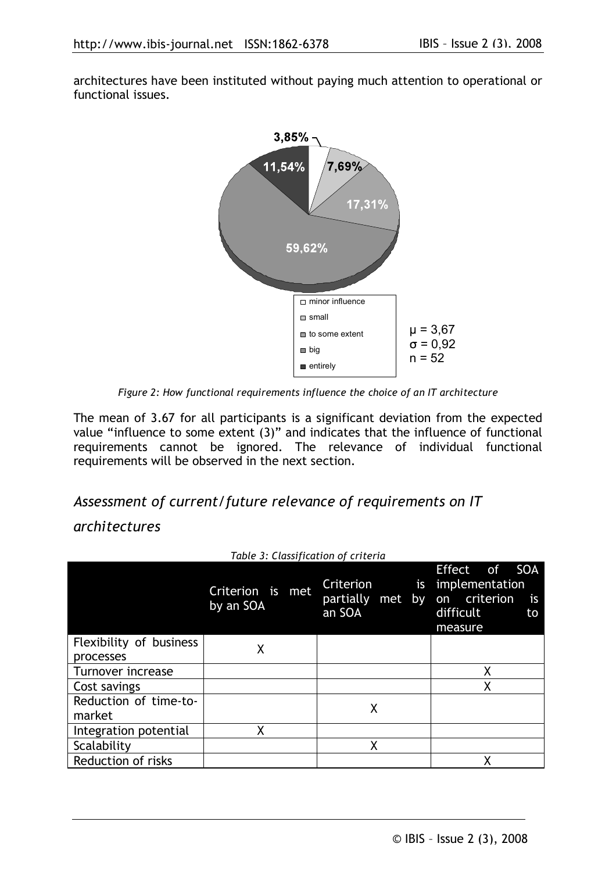architectures have been instituted without paying much attention to operational or functional issues.



Figure 2: How functional requirements influence the choice of an IT architecture

The mean of 3.67 for all participants is a significant deviation from the expected value "influence to some extent (3)" and indicates that the influence of functional requirements cannot be ignored. The relevance of individual functional requirements will be observed in the next section.

## Assessment of current/future relevance of requirements on IT

### *architectures*

|                                      | Table 3: Classification of criteria |                                               |                                                                                                       |
|--------------------------------------|-------------------------------------|-----------------------------------------------|-------------------------------------------------------------------------------------------------------|
|                                      | Criterion is<br>met<br>by an SOA    | Criterion<br>is<br>partially met by<br>an SOA | <b>SOA</b><br>Effect of<br>implementation<br>on criterion<br><b>is</b><br>difficult<br>to.<br>measure |
| Flexibility of business<br>processes | Χ                                   |                                               |                                                                                                       |
| Turnover increase                    |                                     |                                               | χ                                                                                                     |
| Cost savings                         |                                     |                                               | Χ                                                                                                     |
| Reduction of time-to-<br>market      |                                     | Χ                                             |                                                                                                       |
| Integration potential                | Χ                                   |                                               |                                                                                                       |
| Scalability                          |                                     | χ                                             |                                                                                                       |
| <b>Reduction of risks</b>            |                                     |                                               | χ                                                                                                     |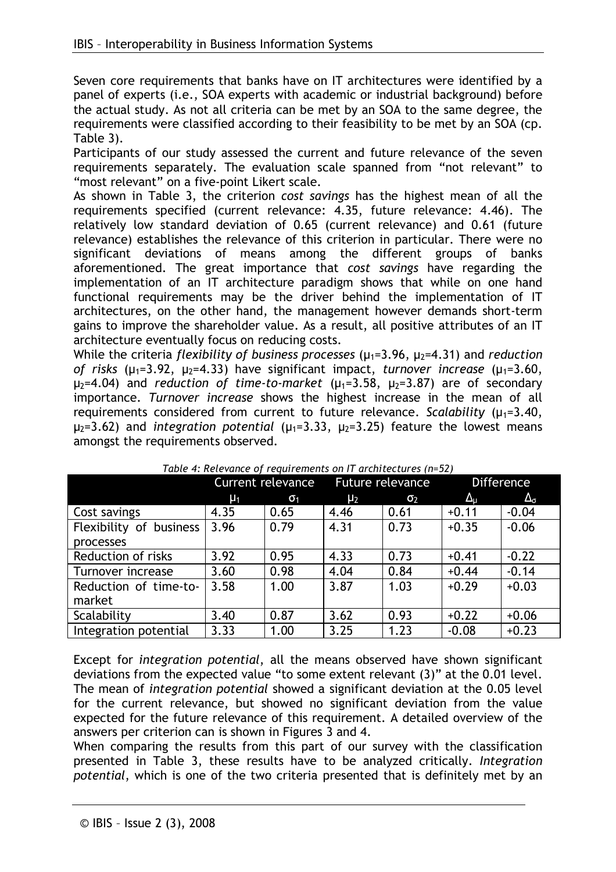Seven core requirements that banks have on IT architectures were identified by a panel of experts (i.e., SOA experts with academic or industrial background) before the actual study. As not all criteria can be met by an SOA to the same degree, the requirements were classified according to their feasibility to be met by an SOA (cp. Table 3).

Participants of our study assessed the current and future relevance of the seven requirements separately. The evaluation scale spanned from "not relevant" to "most relevant" on a five-point Likert scale.

As shown in Table 3, the criterion cost savings has the highest mean of all the requirements specified (current relevance: 4.35, future relevance: 4.46). The relatively low standard deviation of 0.65 (current relevance) and 0.61 (future relevance) establishes the relevance of this criterion in particular. There were no significant deviations of means among the different groups of banks aforementioned. The great importance that cost savings have regarding the implementation of an IT architecture paradigm shows that while on one hand functional requirements may be the driver behind the implementation of IT architectures, on the other hand, the management however demands short-term gains to improve the shareholder value. As a result, all positive attributes of an IT architecture eventually focus on reducing costs.

While the criteria flexibility of business processes ( $\mu_1$ =3.96,  $\mu_2$ =4.31) and reduction of risks  $(\mu_1=3.92, \mu_2=4.33)$  have significant impact, turnover increase  $(\mu_1=3.60, \mu_2=3.60)$  $\mu_2$ =4.04) and reduction of time-to-market ( $\mu_1$ =3.58,  $\mu_2$ =3.87) are of secondary importance. Turnover increase shows the highest increase in the mean of all requirements considered from current to future relevance. Scalability  $(\mu_1=3.40,$  $\mu_2$ =3.62) and integration potential ( $\mu_1$ =3.33,  $\mu_2$ =3.25) feature the lowest means amongst the requirements observed.

|                         | <b>Current relevance</b> |            | Future relevance |            | <b>Difference</b> |                   |
|-------------------------|--------------------------|------------|------------------|------------|-------------------|-------------------|
|                         | $\mu_1$                  | $\sigma_1$ | $\mu_2$          | $\sigma_2$ | $\Delta_{\rm u}$  | $\Delta_{\sigma}$ |
| Cost savings            | 4.35                     | 0.65       | 4.46             | 0.61       | $+0.11$           | $-0.04$           |
| Flexibility of business | 3.96                     | 0.79       | 4.31             | 0.73       | $+0.35$           | $-0.06$           |
| processes               |                          |            |                  |            |                   |                   |
| Reduction of risks      | 3.92                     | 0.95       | 4.33             | 0.73       | $+0.41$           | $-0.22$           |
| Turnover increase       | 3.60                     | 0.98       | 4.04             | 0.84       | $+0.44$           | $-0.14$           |
| Reduction of time-to-   | 3.58                     | 1.00       | 3.87             | 1.03       | $+0.29$           | $+0.03$           |
| market                  |                          |            |                  |            |                   |                   |
| Scalability             | 3.40                     | 0.87       | 3.62             | 0.93       | $+0.22$           | $+0.06$           |
| Integration potential   | 3.33                     | 1.00       | 3.25             | 1.23       | $-0.08$           | $+0.23$           |

Table 4: Relevance of requirements on IT architectures (n=52)

Except for integration potential, all the means observed have shown significant deviations from the expected value "to some extent relevant (3)" at the 0.01 level. The mean of *integration potential* showed a significant deviation at the 0.05 level for the current relevance, but showed no significant deviation from the value expected for the future relevance of this requirement. A detailed overview of the answers per criterion can is shown in Figures 3 and 4.

When comparing the results from this part of our survey with the classification presented in Table 3, these results have to be analyzed critically. Integration potential, which is one of the two criteria presented that is definitely met by an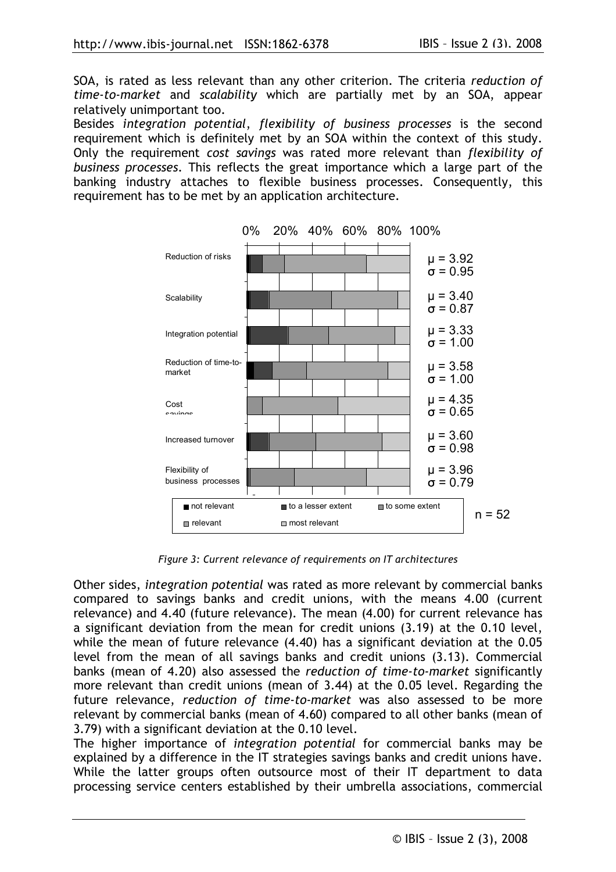SOA, is rated as less relevant than any other criterion. The criteria reduction of time-to-market and scalability which are partially met by an SOA, appear relatively unimportant too.

Besides integration potential, flexibility of business processes is the second requirement which is definitely met by an SOA within the context of this study. Only the requirement cost savings was rated more relevant than flexibility of business processes. This reflects the great importance which a large part of the banking industry attaches to flexible business processes. Consequently, this requirement has to be met by an application architecture.



Figure 3: Current relevance of requirements on IT architectures

Other sides, integration potential was rated as more relevant by commercial banks compared to savings banks and credit unions, with the means 4.00 (current relevance) and 4.40 (future relevance). The mean (4.00) for current relevance has a significant deviation from the mean for credit unions (3.19) at the 0.10 level, while the mean of future relevance (4.40) has a significant deviation at the 0.05 level from the mean of all savings banks and credit unions (3.13). Commercial banks (mean of 4.20) also assessed the reduction of time-to-market significantly more relevant than credit unions (mean of 3.44) at the 0.05 level. Regarding the future relevance, reduction of time-to-market was also assessed to be more relevant by commercial banks (mean of 4.60) compared to all other banks (mean of 3.79) with a significant deviation at the 0.10 level.

The higher importance of integration potential for commercial banks may be explained by a difference in the IT strategies savings banks and credit unions have. While the latter groups often outsource most of their IT department to data processing service centers established by their umbrella associations, commercial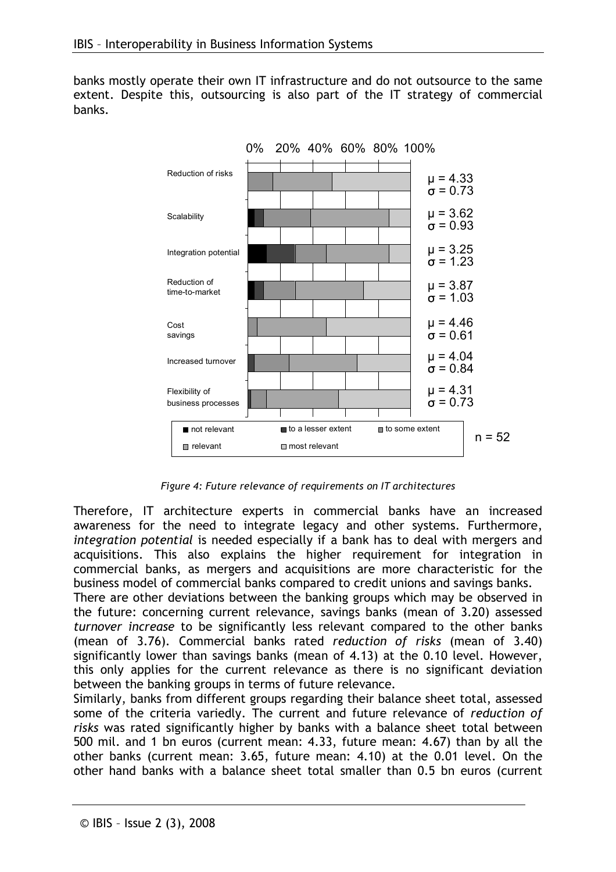banks mostly operate their own IT infrastructure and do not outsource to the same extent. Despite this, outsourcing is also part of the IT strategy of commercial banks.



Figure 4: Future relevance of requirements on IT architectures

Therefore, IT architecture experts in commercial banks have an increased awareness for the need to integrate legacy and other systems. Furthermore, integration potential is needed especially if a bank has to deal with mergers and acquisitions. This also explains the higher requirement for integration in commercial banks, as mergers and acquisitions are more characteristic for the business model of commercial banks compared to credit unions and savings banks.

There are other deviations between the banking groups which may be observed in the future: concerning current relevance, savings banks (mean of 3.20) assessed turnover increase to be significantly less relevant compared to the other banks (mean of 3.76). Commercial banks rated reduction of risks (mean of 3.40) significantly lower than savings banks (mean of 4.13) at the 0.10 level. However, this only applies for the current relevance as there is no significant deviation between the banking groups in terms of future relevance.

Similarly, banks from different groups regarding their balance sheet total, assessed some of the criteria variedly. The current and future relevance of reduction of risks was rated significantly higher by banks with a balance sheet total between 500 mil, and 1 bn euros (current mean: 4.33, future mean: 4.67) than by all the other banks (current mean: 3.65, future mean: 4.10) at the 0.01 level. On the other hand banks with a balance sheet total smaller than 0.5 bn euros (current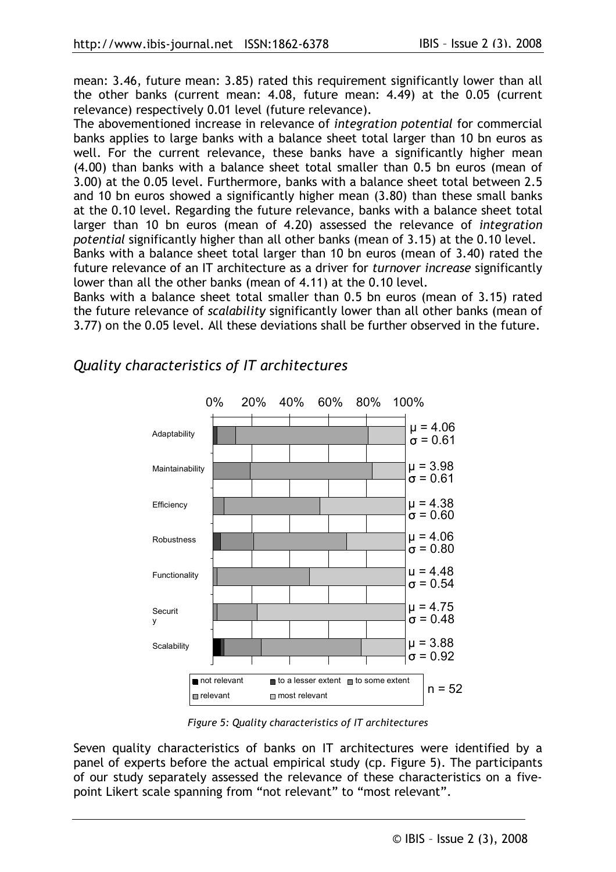mean: 3.46, future mean: 3.85) rated this requirement significantly lower than all the other banks (current mean: 4.08, future mean: 4.49) at the 0.05 (current relevance) respectively 0.01 level (future relevance).

The abovementioned increase in relevance of integration potential for commercial banks applies to large banks with a balance sheet total larger than 10 bn euros as well. For the current relevance, these banks have a significantly higher mean (4.00) than banks with a balance sheet total smaller than 0.5 bn euros (mean of 3.00) at the 0.05 level. Furthermore, banks with a balance sheet total between 2.5 and 10 bn euros showed a significantly higher mean (3.80) than these small banks at the 0.10 level. Regarding the future relevance, banks with a balance sheet total larger than 10 bn euros (mean of 4.20) assessed the relevance of integration potential significantly higher than all other banks (mean of 3.15) at the 0.10 level. Banks with a balance sheet total larger than 10 bn euros (mean of 3.40) rated the

future relevance of an IT architecture as a driver for *turnover increase* significantly lower than all the other banks (mean of 4.11) at the 0.10 level.

Banks with a balance sheet total smaller than 0.5 bn euros (mean of 3.15) rated the future relevance of scalability significantly lower than all other banks (mean of 3.77) on the 0.05 level. All these deviations shall be further observed in the future.



Quality characteristics of IT architectures

Figure 5: Quality characteristics of IT architectures

Seven quality characteristics of banks on IT architectures were identified by a panel of experts before the actual empirical study (cp. Figure 5). The participants of our study separately assessed the relevance of these characteristics on a fivepoint Likert scale spanning from "not relevant" to "most relevant".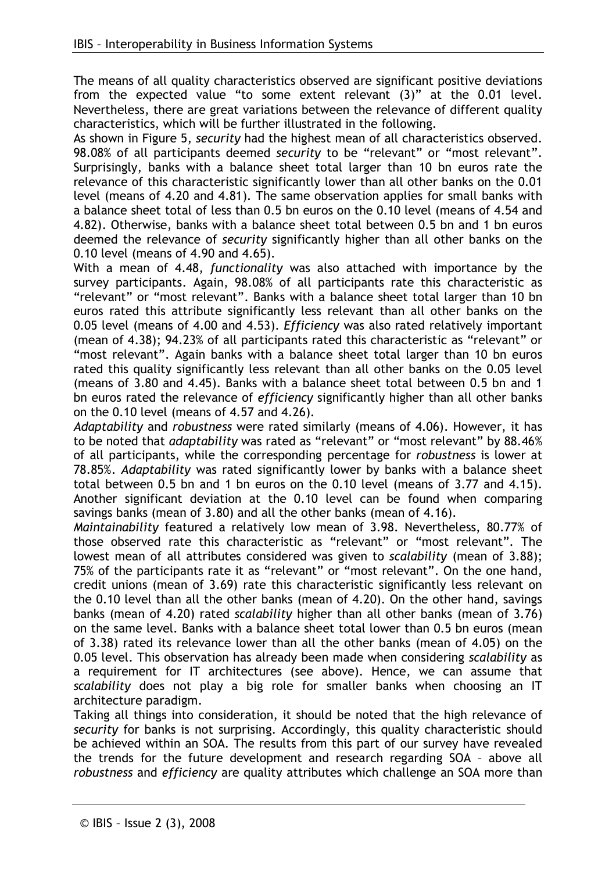The means of all quality characteristics observed are significant positive deviations from the expected value "to some extent relevant (3)" at the 0.01 level. Nevertheless, there are great variations between the relevance of different quality characteristics, which will be further illustrated in the following.

As shown in Figure 5, security had the highest mean of all characteristics observed. 98.08% of all participants deemed security to be "relevant" or "most relevant". Surprisingly, banks with a balance sheet total larger than 10 bn euros rate the relevance of this characteristic significantly lower than all other banks on the 0.01 level (means of 4.20 and 4.81). The same observation applies for small banks with a balance sheet total of less than 0.5 bn euros on the 0.10 level (means of 4.54 and 4.82). Otherwise, banks with a balance sheet total between 0.5 bn and 1 bn euros deemed the relevance of security significantly higher than all other banks on the 0.10 level (means of 4.90 and 4.65).

With a mean of 4.48, functionality was also attached with importance by the survey participants. Again, 98.08% of all participants rate this characteristic as "relevant" or "most relevant". Banks with a balance sheet total larger than 10 bn euros rated this attribute significantly less relevant than all other banks on the 0.05 level (means of 4.00 and 4.53). Efficiency was also rated relatively important (mean of 4.38); 94.23% of all participants rated this characteristic as "relevant" or "most relevant". Again banks with a balance sheet total larger than 10 bn euros rated this quality significantly less relevant than all other banks on the 0.05 level (means of 3.80 and 4.45). Banks with a balance sheet total between 0.5 bn and 1 bn euros rated the relevance of *efficiency* significantly higher than all other banks on the 0.10 level (means of 4.57 and 4.26).

Adaptability and robustness were rated similarly (means of 4.06). However, it has to be noted that adaptability was rated as "relevant" or "most relevant" by 88.46% of all participants, while the corresponding percentage for robustness is lower at 78.85%. Adaptability was rated significantly lower by banks with a balance sheet total between 0.5 bn and 1 bn euros on the 0.10 level (means of 3.77 and 4.15). Another significant deviation at the 0.10 level can be found when comparing savings banks (mean of 3.80) and all the other banks (mean of 4.16).

Maintainability featured a relatively low mean of 3.98. Nevertheless, 80.77% of those observed rate this characteristic as "relevant" or "most relevant". The lowest mean of all attributes considered was given to scalability (mean of 3.88); 75% of the participants rate it as "relevant" or "most relevant". On the one hand, credit unions (mean of 3.69) rate this characteristic significantly less relevant on the 0.10 level than all the other banks (mean of 4.20). On the other hand, savings banks (mean of 4.20) rated scalability higher than all other banks (mean of 3.76) on the same level. Banks with a balance sheet total lower than 0.5 bn euros (mean of 3.38) rated its relevance lower than all the other banks (mean of 4.05) on the 0.05 level. This observation has already been made when considering scalability as a requirement for IT architectures (see above). Hence, we can assume that scalability does not play a big role for smaller banks when choosing an IT architecture paradigm.

Taking all things into consideration, it should be noted that the high relevance of security for banks is not surprising. Accordingly, this quality characteristic should be achieved within an SOA. The results from this part of our survey have revealed the trends for the future development and research regarding SOA - above all robustness and efficiency are quality attributes which challenge an SOA more than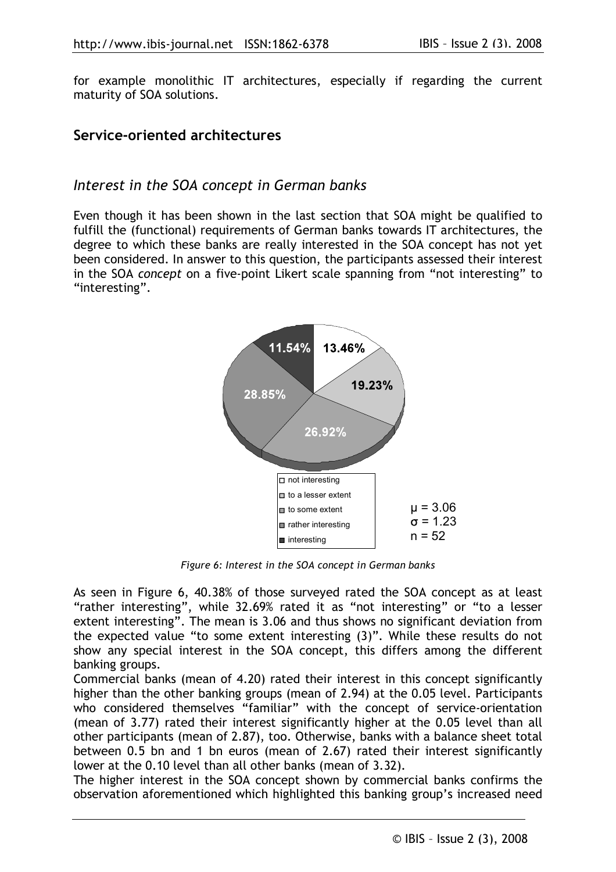for example monolithic IT architectures, especially if regarding the current maturity of SOA solutions.

### Service-oriented architectures

#### Interest in the SOA concept in German banks

Even though it has been shown in the last section that SOA might be qualified to fulfill the (functional) requirements of German banks towards IT architectures, the degree to which these banks are really interested in the SOA concept has not yet been considered. In answer to this question, the participants assessed their interest in the SOA concept on a five-point Likert scale spanning from "not interesting" to "interesting".



Figure 6: Interest in the SOA concept in German banks

As seen in Figure 6, 40.38% of those surveyed rated the SOA concept as at least "rather interesting", while 32.69% rated it as "not interesting" or "to a lesser extent interesting". The mean is 3.06 and thus shows no significant deviation from the expected value "to some extent interesting (3)". While these results do not show any special interest in the SOA concept, this differs among the different banking groups.

Commercial banks (mean of 4.20) rated their interest in this concept significantly higher than the other banking groups (mean of 2.94) at the 0.05 level. Participants who considered themselves "familiar" with the concept of service-orientation (mean of 3.77) rated their interest significantly higher at the 0.05 level than all other participants (mean of 2.87), too. Otherwise, banks with a balance sheet total between 0.5 bn and 1 bn euros (mean of 2.67) rated their interest significantly lower at the 0.10 level than all other banks (mean of 3.32).

The higher interest in the SOA concept shown by commercial banks confirms the observation aforementioned which highlighted this banking group's increased need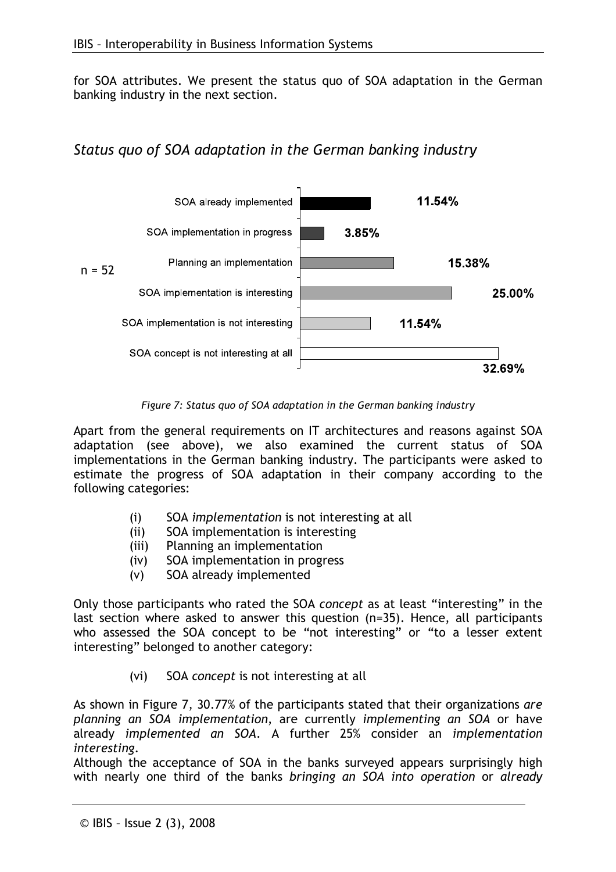for SOA attributes. We present the status quo of SOA adaptation in the German banking industry in the next section.

## Status quo of SOA adaptation in the German banking industry



Figure 7: Status quo of SOA adaptation in the German banking industry

Apart from the general requirements on IT architectures and reasons against SOA adaptation (see above), we also examined the current status of SOA implementations in the German banking industry. The participants were asked to estimate the progress of SOA adaptation in their company according to the following categories:

- SOA implementation is not interesting at all  $(i)$
- SOA implementation is interesting  $(ii)$
- Planning an implementation  $(iii)$
- SOA implementation in progress  $(iv)$
- SOA already implemented  $(V)$

Only those participants who rated the SOA concept as at least "interesting" in the last section where asked to answer this question (n=35). Hence, all participants who assessed the SOA concept to be "not interesting" or "to a lesser extent interesting" belonged to another category:

> $(vi)$ SOA concept is not interesting at all

As shown in Figure 7, 30.77% of the participants stated that their organizations are planning an SOA implementation, are currently implementing an SOA or have already implemented an SOA. A further 25% consider an implementation interesting.

Although the acceptance of SOA in the banks surveyed appears surprisingly high with nearly one third of the banks bringing an SOA into operation or already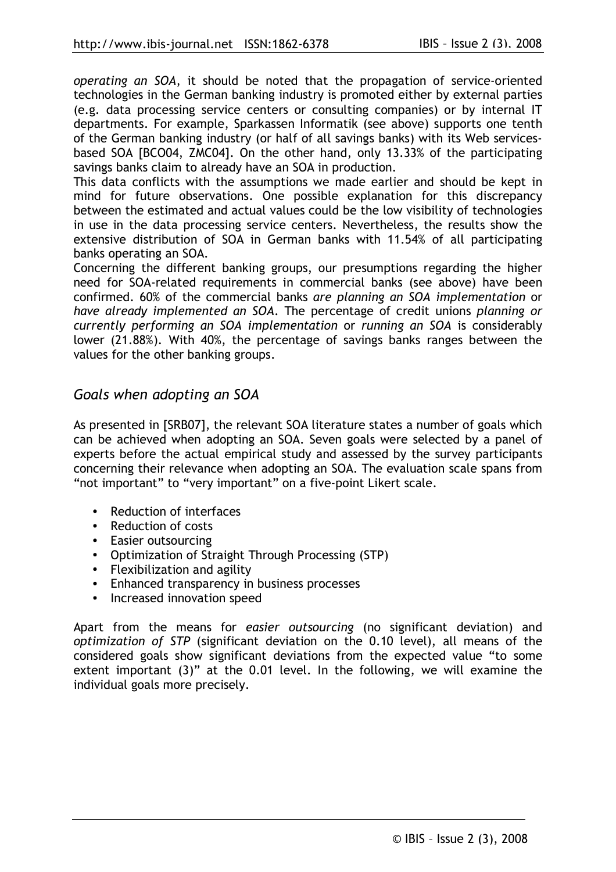operating an SOA, it should be noted that the propagation of service-oriented technologies in the German banking industry is promoted either by external parties (e.g. data processing service centers or consulting companies) or by internal IT departments. For example, Sparkassen Informatik (see above) supports one tenth of the German banking industry (or half of all savings banks) with its Web servicesbased SOA [BCO04, ZMC04]. On the other hand, only 13.33% of the participating savings banks claim to already have an SOA in production.

This data conflicts with the assumptions we made earlier and should be kept in mind for future observations. One possible explanation for this discrepancy between the estimated and actual values could be the low visibility of technologies in use in the data processing service centers. Nevertheless, the results show the extensive distribution of SOA in German banks with 11.54% of all participating banks operating an SOA.

Concerning the different banking groups, our presumptions regarding the higher need for SOA-related requirements in commercial banks (see above) have been confirmed. 60% of the commercial banks are planning an SOA implementation or have already implemented an SOA. The percentage of credit unions planning or currently performing an SOA implementation or running an SOA is considerably lower (21.88%). With 40%, the percentage of savings banks ranges between the values for the other banking groups.

#### Goals when adopting an SOA

As presented in [SRB07], the relevant SOA literature states a number of goals which can be achieved when adopting an SOA. Seven goals were selected by a panel of experts before the actual empirical study and assessed by the survey participants concerning their relevance when adopting an SOA. The evaluation scale spans from "not important" to "very important" on a five-point Likert scale.

- Reduction of interfaces
- Reduction of costs
- Easier outsourcing
- Optimization of Straight Through Processing (STP)
- Flexibilization and agility
- Enhanced transparency in business processes
- Increased innovation speed

Apart from the means for easier outsourcing (no significant deviation) and optimization of STP (significant deviation on the 0.10 level), all means of the considered goals show significant deviations from the expected value "to some extent important (3)" at the 0.01 level. In the following, we will examine the individual goals more precisely.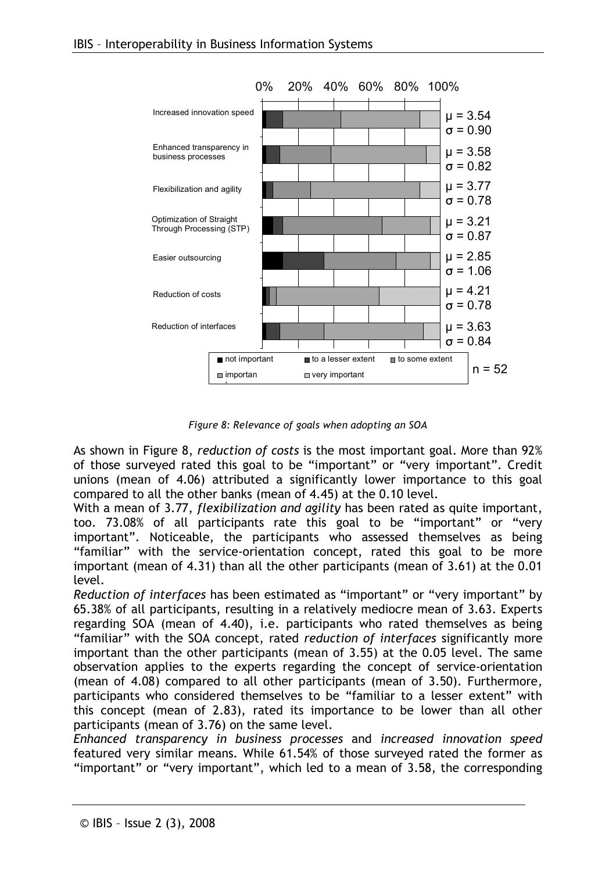

Figure 8: Relevance of goals when adopting an SOA

As shown in Figure 8, reduction of costs is the most important goal. More than 92% of those surveyed rated this goal to be "important" or "very important". Credit unions (mean of 4.06) attributed a significantly lower importance to this goal compared to all the other banks (mean of 4.45) at the 0.10 level.

With a mean of 3.77, flexibilization and agility has been rated as quite important, too. 73.08% of all participants rate this goal to be "important" or "very important". Noticeable, the participants who assessed themselves as being "familiar" with the service-orientation concept, rated this goal to be more important (mean of 4.31) than all the other participants (mean of 3.61) at the 0.01 level.

Reduction of interfaces has been estimated as "important" or "very important" by 65.38% of all participants, resulting in a relatively mediocre mean of 3.63. Experts regarding SOA (mean of 4.40), i.e. participants who rated themselves as being "familiar" with the SOA concept, rated reduction of interfaces significantly more important than the other participants (mean of 3.55) at the 0.05 level. The same observation applies to the experts regarding the concept of service-orientation (mean of 4.08) compared to all other participants (mean of 3.50). Furthermore, participants who considered themselves to be "familiar to a lesser extent" with this concept (mean of 2.83), rated its importance to be lower than all other participants (mean of 3.76) on the same level.

Enhanced transparency in business processes and increased innovation speed featured very similar means. While 61.54% of those surveyed rated the former as "important" or "very important", which led to a mean of 3.58, the corresponding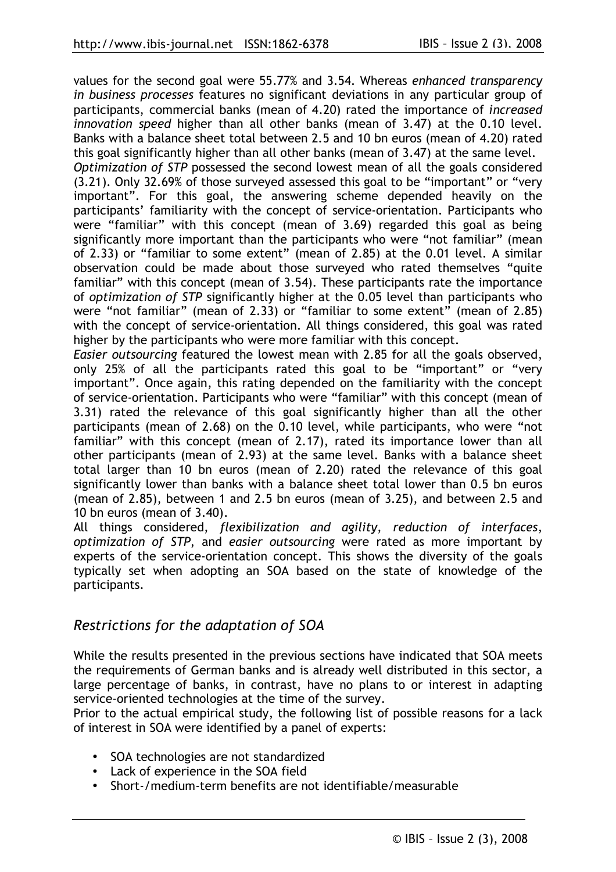values for the second goal were 55.77% and 3.54. Whereas enhanced transparency in business processes features no significant deviations in any particular group of participants, commercial banks (mean of 4.20) rated the importance of *increased* innovation speed higher than all other banks (mean of 3.47) at the 0.10 level. Banks with a balance sheet total between 2.5 and 10 bn euros (mean of 4.20) rated this goal significantly higher than all other banks (mean of 3.47) at the same level.

Optimization of STP possessed the second lowest mean of all the goals considered (3.21). Only 32.69% of those surveyed assessed this goal to be "important" or "very important". For this goal, the answering scheme depended heavily on the participants' familiarity with the concept of service-orientation. Participants who were "familiar" with this concept (mean of 3.69) regarded this goal as being significantly more important than the participants who were "not familiar" (mean of 2.33) or "familiar to some extent" (mean of 2.85) at the 0.01 level. A similar observation could be made about those surveyed who rated themselves "quite familiar" with this concept (mean of 3.54). These participants rate the importance of optimization of STP significantly higher at the 0.05 level than participants who were "not familiar" (mean of 2.33) or "familiar to some extent" (mean of 2.85) with the concept of service-orientation. All things considered, this goal was rated higher by the participants who were more familiar with this concept.

Easier outsourcing featured the lowest mean with 2.85 for all the goals observed, only 25% of all the participants rated this goal to be "important" or "very important". Once again, this rating depended on the familiarity with the concept of service-orientation. Participants who were "familiar" with this concept (mean of 3.31) rated the relevance of this goal significantly higher than all the other participants (mean of 2.68) on the 0.10 level, while participants, who were "not familiar" with this concept (mean of 2.17), rated its importance lower than all other participants (mean of 2.93) at the same level. Banks with a balance sheet total larger than 10 bn euros (mean of 2.20) rated the relevance of this goal significantly lower than banks with a balance sheet total lower than 0.5 bn euros (mean of 2.85), between 1 and 2.5 bn euros (mean of 3.25), and between 2.5 and 10 bn euros (mean of 3.40).

All things considered, flexibilization and agility, reduction of interfaces, optimization of STP, and easier outsourcing were rated as more important by experts of the service-orientation concept. This shows the diversity of the goals typically set when adopting an SOA based on the state of knowledge of the participants.

### Restrictions for the adaptation of SOA

While the results presented in the previous sections have indicated that SOA meets the requirements of German banks and is already well distributed in this sector, a large percentage of banks, in contrast, have no plans to or interest in adapting service-oriented technologies at the time of the survey.

Prior to the actual empirical study, the following list of possible reasons for a lack of interest in SOA were identified by a panel of experts:

- SOA technologies are not standardized
- Lack of experience in the SOA field
- Short-/medium-term benefits are not identifiable/measurable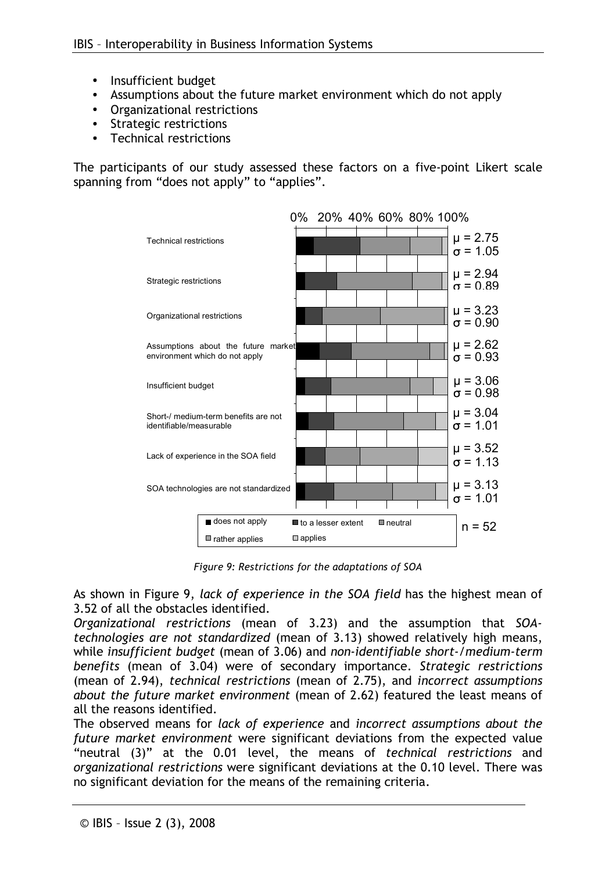- Insufficient budget
- Assumptions about the future market environment which do not apply
- Organizational restrictions
- Strategic restrictions
- **Technical restrictions**

The participants of our study assessed these factors on a five-point Likert scale spanning from "does not apply" to "applies".



Figure 9: Restrictions for the adaptations of SOA

As shown in Figure 9, lack of experience in the SOA field has the highest mean of 3.52 of all the obstacles identified.

Organizational restrictions (mean of 3.23) and the assumption that SOAtechnologies are not standardized (mean of 3.13) showed relatively high means, while insufficient budget (mean of 3.06) and non-identifiable short-/medium-term benefits (mean of 3.04) were of secondary importance. Strategic restrictions (mean of 2.94), technical restrictions (mean of 2.75), and incorrect assumptions about the future market environment (mean of 2.62) featured the least means of all the reasons identified.

The observed means for lack of experience and incorrect assumptions about the future market environment were significant deviations from the expected value "neutral (3)" at the 0.01 level, the means of technical restrictions and organizational restrictions were significant deviations at the 0.10 level. There was no significant deviation for the means of the remaining criteria.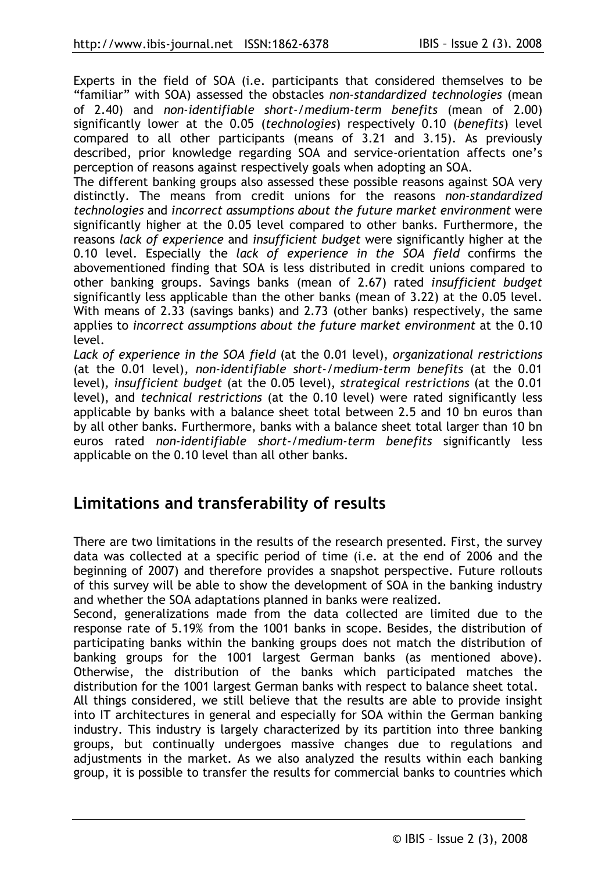Experts in the field of SOA (i.e. participants that considered themselves to be "familiar" with SOA) assessed the obstacles non-standardized technologies (mean of 2.40) and non-identifiable short-/medium-term benefits (mean of 2.00) significantly lower at the 0.05 (technologies) respectively 0.10 (benefits) level compared to all other participants (means of 3.21 and 3.15). As previously described, prior knowledge regarding SOA and service-orientation affects one's perception of reasons against respectively goals when adopting an SOA.

The different banking groups also assessed these possible reasons against SOA very distinctly. The means from credit unions for the reasons non-standardized technologies and incorrect assumptions about the future market environment were significantly higher at the 0.05 level compared to other banks. Furthermore, the reasons lack of experience and insufficient budget were significantly higher at the 0.10 level. Especially the lack of experience in the SOA field confirms the abovementioned finding that SOA is less distributed in credit unions compared to other banking groups. Savings banks (mean of 2.67) rated insufficient budget significantly less applicable than the other banks (mean of 3.22) at the 0.05 level. With means of 2.33 (savings banks) and 2.73 (other banks) respectively, the same applies to incorrect assumptions about the future market environment at the 0.10 level.

Lack of experience in the SOA field (at the 0.01 level), organizational restrictions (at the 0.01 level), non-identifiable short-/medium-term benefits (at the 0.01 level), insufficient budget (at the 0.05 level), strategical restrictions (at the 0.01 level), and *technical restrictions* (at the 0.10 level) were rated significantly less applicable by banks with a balance sheet total between 2.5 and 10 bn euros than by all other banks. Furthermore, banks with a balance sheet total larger than 10 bn euros rated non-identifiable short-/medium-term benefits significantly less applicable on the 0.10 level than all other banks.

## Limitations and transferability of results

There are two limitations in the results of the research presented. First, the survey data was collected at a specific period of time (i.e. at the end of 2006 and the beginning of 2007) and therefore provides a snapshot perspective. Future rollouts of this survey will be able to show the development of SOA in the banking industry and whether the SOA adaptations planned in banks were realized.

Second, generalizations made from the data collected are limited due to the response rate of 5.19% from the 1001 banks in scope. Besides, the distribution of participating banks within the banking groups does not match the distribution of banking groups for the 1001 largest German banks (as mentioned above). Otherwise, the distribution of the banks which participated matches the distribution for the 1001 largest German banks with respect to balance sheet total. All things considered, we still believe that the results are able to provide insight into IT architectures in general and especially for SOA within the German banking industry. This industry is largely characterized by its partition into three banking groups, but continually undergoes massive changes due to regulations and adjustments in the market. As we also analyzed the results within each banking group, it is possible to transfer the results for commercial banks to countries which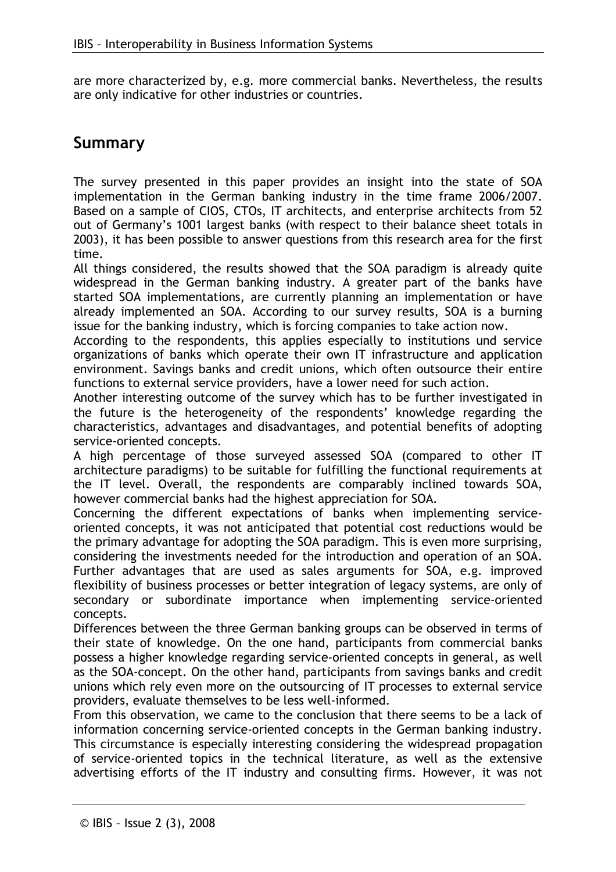are more characterized by, e.g. more commercial banks. Nevertheless, the results are only indicative for other industries or countries.

## Summary

The survey presented in this paper provides an insight into the state of SOA implementation in the German banking industry in the time frame 2006/2007. Based on a sample of CIOS, CTOs, IT architects, and enterprise architects from 52 out of Germany's 1001 largest banks (with respect to their balance sheet totals in 2003), it has been possible to answer questions from this research area for the first time.

All things considered, the results showed that the SOA paradigm is already quite widespread in the German banking industry. A greater part of the banks have started SOA implementations, are currently planning an implementation or have already implemented an SOA. According to our survey results, SOA is a burning issue for the banking industry, which is forcing companies to take action now.

According to the respondents, this applies especially to institutions und service organizations of banks which operate their own IT infrastructure and application environment. Savings banks and credit unions, which often outsource their entire functions to external service providers, have a lower need for such action.

Another interesting outcome of the survey which has to be further investigated in the future is the heterogeneity of the respondents' knowledge regarding the characteristics, advantages and disadvantages, and potential benefits of adopting service-oriented concepts.

A high percentage of those surveyed assessed SOA (compared to other IT architecture paradigms) to be suitable for fulfilling the functional requirements at the IT level. Overall, the respondents are comparably inclined towards SOA, however commercial banks had the highest appreciation for SOA.

Concerning the different expectations of banks when implementing serviceoriented concepts, it was not anticipated that potential cost reductions would be the primary advantage for adopting the SOA paradigm. This is even more surprising, considering the investments needed for the introduction and operation of an SOA. Further advantages that are used as sales arguments for SOA, e.g. improved flexibility of business processes or better integration of legacy systems, are only of secondary or subordinate importance when implementing service-oriented concepts.

Differences between the three German banking groups can be observed in terms of their state of knowledge. On the one hand, participants from commercial banks possess a higher knowledge regarding service-oriented concepts in general, as well as the SOA-concept. On the other hand, participants from savings banks and credit unions which rely even more on the outsourcing of IT processes to external service providers, evaluate themselves to be less well-informed.

From this observation, we came to the conclusion that there seems to be a lack of information concerning service-oriented concepts in the German banking industry. This circumstance is especially interesting considering the widespread propagation of service-oriented topics in the technical literature, as well as the extensive advertising efforts of the IT industry and consulting firms. However, it was not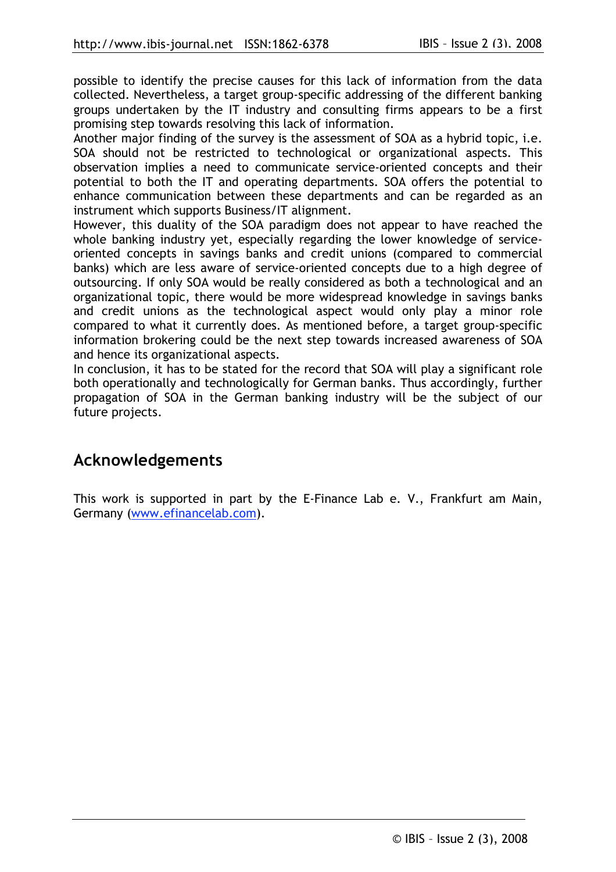possible to identify the precise causes for this lack of information from the data collected. Nevertheless, a target group-specific addressing of the different banking groups undertaken by the IT industry and consulting firms appears to be a first promising step towards resolving this lack of information.

Another major finding of the survey is the assessment of SOA as a hybrid topic, i.e. SOA should not be restricted to technological or organizational aspects. This observation implies a need to communicate service-oriented concepts and their potential to both the IT and operating departments. SOA offers the potential to enhance communication between these departments and can be regarded as an instrument which supports Business/IT alignment.

However, this duality of the SOA paradigm does not appear to have reached the whole banking industry yet, especially regarding the lower knowledge of serviceoriented concepts in savings banks and credit unions (compared to commercial banks) which are less aware of service-oriented concepts due to a high degree of outsourcing. If only SOA would be really considered as both a technological and an organizational topic, there would be more widespread knowledge in savings banks and credit unions as the technological aspect would only play a minor role compared to what it currently does. As mentioned before, a target group-specific information brokering could be the next step towards increased awareness of SOA and hence its organizational aspects.

In conclusion, it has to be stated for the record that SOA will play a significant role both operationally and technologically for German banks. Thus accordingly, further propagation of SOA in the German banking industry will be the subject of our future projects.

## Acknowledgements

This work is supported in part by the E-Finance Lab e. V., Frankfurt am Main, Germany (www.efinancelab.com).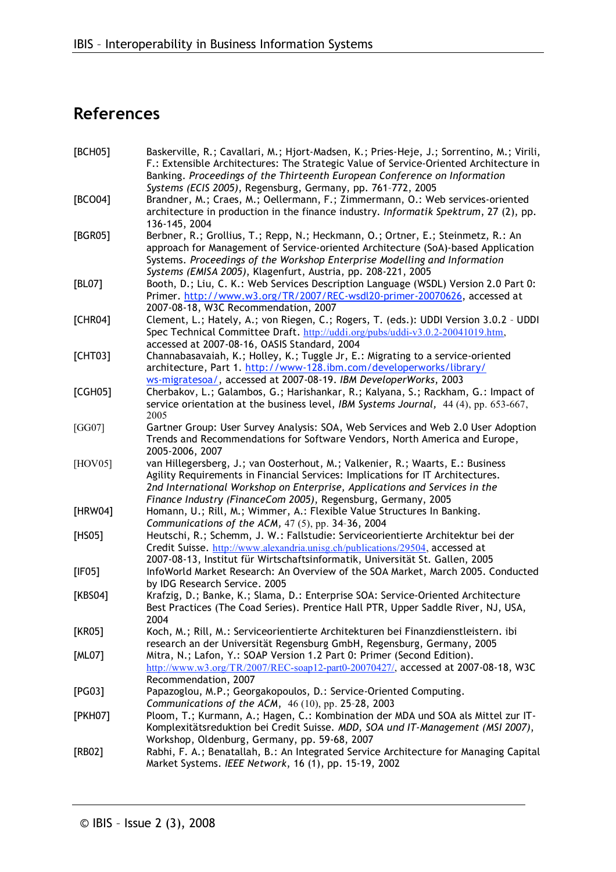# References

| [BCH05] | Baskerville, R.; Cavallari, M.; Hjort-Madsen, K.; Pries-Heje, J.; Sorrentino, M.; Virili,<br>F.: Extensible Architectures: The Strategic Value of Service-Oriented Architecture in<br>Banking. Proceedings of the Thirteenth European Conference on Information                                                   |
|---------|-------------------------------------------------------------------------------------------------------------------------------------------------------------------------------------------------------------------------------------------------------------------------------------------------------------------|
| [BCO04] | Systems (ECIS 2005), Regensburg, Germany, pp. 761-772, 2005<br>Brandner, M.; Craes, M.; Oellermann, F.; Zimmermann, O.: Web services-oriented<br>architecture in production in the finance industry. Informatik Spektrum, 27 (2), pp.<br>136-145, 2004                                                            |
| [BGR05] | Berbner, R.; Grollius, T.; Repp, N.; Heckmann, O.; Ortner, E.; Steinmetz, R.: An<br>approach for Management of Service-oriented Architecture (SoA)-based Application<br>Systems. Proceedings of the Workshop Enterprise Modelling and Information<br>Systems (EMISA 2005), Klagenfurt, Austria, pp. 208-221, 2005 |
| [BL07]  | Booth, D.; Liu, C. K.: Web Services Description Language (WSDL) Version 2.0 Part 0:<br>Primer. http://www.w3.org/TR/2007/REC-wsdl20-primer-20070626, accessed at<br>2007-08-18, W3C Recommendation, 2007                                                                                                          |
| [CHR04] | Clement, L.; Hately, A.; von Riegen, C.; Rogers, T. (eds.): UDDI Version 3.0.2 - UDDI<br>Spec Technical Committee Draft. http://uddi.org/pubs/uddi-v3.0.2-20041019.htm,<br>accessed at 2007-08-16, OASIS Standard, 2004                                                                                           |
| [CHTO3] | Channabasavaiah, K.; Holley, K.; Tuggle Jr, E.: Migrating to a service-oriented<br>architecture, Part 1. http://www-128.ibm.com/developerworks/library/<br>ws-migratesoa/, accessed at 2007-08-19. IBM DeveloperWorks, 2003                                                                                       |
| [CGH05] | Cherbakov, L.; Galambos, G.; Harishankar, R.; Kalyana, S.; Rackham, G.: Impact of<br>service orientation at the business level, IBM Systems Journal, 44 (4), pp. 653-667,<br>2005                                                                                                                                 |
| [GG07]  | Gartner Group: User Survey Analysis: SOA, Web Services and Web 2.0 User Adoption<br>Trends and Recommendations for Software Vendors, North America and Europe,<br>2005-2006, 2007                                                                                                                                 |
| [HOV05] | van Hillegersberg, J.; van Oosterhout, M.; Valkenier, R.; Waarts, E.: Business<br>Agility Requirements in Financial Services: Implications for IT Architectures.<br>2nd International Workshop on Enterprise, Applications and Services in the<br>Finance Industry (FinanceCom 2005), Regensburg, Germany, 2005   |
| [HRW04] | Homann, U.; Rill, M.; Wimmer, A.: Flexible Value Structures In Banking.<br>Communications of the ACM, $47(5)$ , pp. 34-36, 2004                                                                                                                                                                                   |
| [HS05]  | Heutschi, R.; Schemm, J. W.: Fallstudie: Serviceorientierte Architektur bei der<br>Credit Suisse. http://www.alexandria.unisg.ch/publications/29504, accessed at<br>2007-08-13, Institut für Wirtschaftsinformatik, Universität St. Gallen, 2005                                                                  |
| [IF05]  | InfoWorld Market Research: An Overview of the SOA Market, March 2005. Conducted<br>by IDG Research Service. 2005                                                                                                                                                                                                  |
| [KBS04] | Krafzig, D.; Banke, K.; Slama, D.: Enterprise SOA: Service-Oriented Architecture<br>Best Practices (The Coad Series). Prentice Hall PTR, Upper Saddle River, NJ, USA,<br>2004                                                                                                                                     |
| [KR05]  | Koch, M.; Rill, M.: Serviceorientierte Architekturen bei Finanzdienstleistern. ibi<br>research an der Universität Regensburg GmbH, Regensburg, Germany, 2005                                                                                                                                                      |
| [ML07]  | Mitra, N.; Lafon, Y.: SOAP Version 1.2 Part 0: Primer (Second Edition).<br>http://www.w3.org/TR/2007/REC-soap12-part0-20070427/, accessed at 2007-08-18, W3C<br>Recommendation, 2007                                                                                                                              |
| [PG03]  | Papazoglou, M.P.; Georgakopoulos, D.: Service-Oriented Computing.<br>Communications of the ACM, 46 (10), pp. 25-28, 2003                                                                                                                                                                                          |
| [PKH07] | Ploom, T.; Kurmann, A.; Hagen, C.: Kombination der MDA und SOA als Mittel zur IT-<br>Komplexitätsreduktion bei Credit Suisse. MDD, SOA und IT-Management (MSI 2007),<br>Workshop, Oldenburg, Germany, pp. 59-68, 2007                                                                                             |
| [RB02]  | Rabhi, F. A.; Benatallah, B.: An Integrated Service Architecture for Managing Capital<br>Market Systems. IEEE Network, 16 (1), pp. 15-19, 2002                                                                                                                                                                    |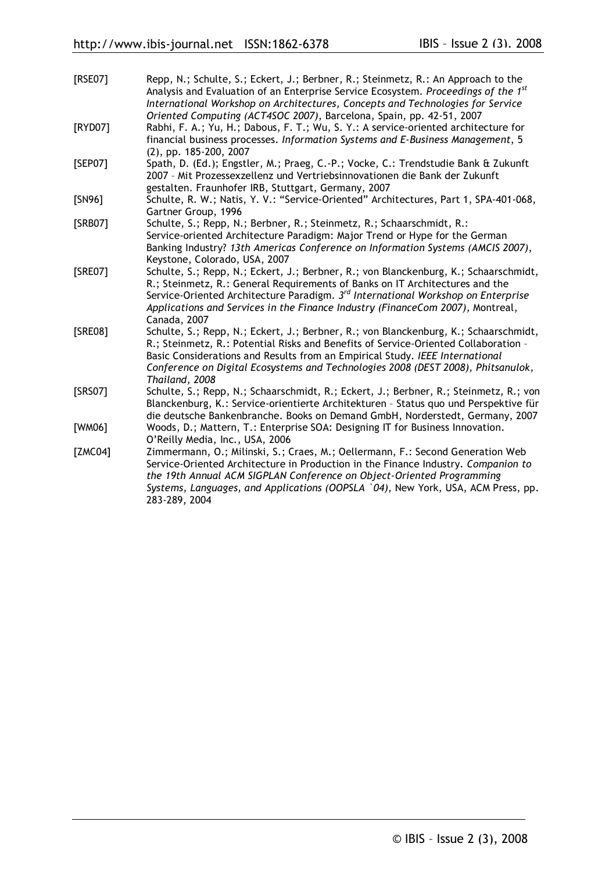| [RSE07] | Repp, N.; Schulte, S.; Eckert, J.; Berbner, R.; Steinmetz, R.: An Approach to the<br>Analysis and Evaluation of an Enterprise Service Ecosystem. Proceedings of the 1 <sup>st</sup><br>International Workshop on Architectures, Concepts and Technologies for Service                                                                                                  |
|---------|------------------------------------------------------------------------------------------------------------------------------------------------------------------------------------------------------------------------------------------------------------------------------------------------------------------------------------------------------------------------|
| [RYD07] | Oriented Computing (ACT4SOC 2007), Barcelona, Spain, pp. 42-51, 2007<br>Rabhi, F. A.; Yu, H.; Dabous, F. T.; Wu, S. Y.: A service-oriented architecture for<br>financial business processes. Information Systems and E-Business Management, 5<br>$(2)$ , pp. 185-200, 2007                                                                                             |
| [SEP07] | Spath, D. (Ed.); Engstler, M.; Praeg, C.-P.; Vocke, C.: Trendstudie Bank & Zukunft<br>2007 - Mit Prozessexzellenz und Vertriebsinnovationen die Bank der Zukunft                                                                                                                                                                                                       |
| [SN96]  | gestalten. Fraunhofer IRB, Stuttgart, Germany, 2007<br>Schulte, R. W.; Natis, Y. V.: "Service-Oriented" Architectures, Part 1, SPA-401-068,<br>Gartner Group, 1996                                                                                                                                                                                                     |
| [SRB07] | Schulte, S.; Repp, N.; Berbner, R.; Steinmetz, R.; Schaarschmidt, R.:<br>Service-oriented Architecture Paradigm: Major Trend or Hype for the German<br>Banking Industry? 13th Americas Conference on Information Systems (AMCIS 2007),<br>Keystone, Colorado, USA, 2007                                                                                                |
| [SRE07] | Schulte, S.; Repp, N.; Eckert, J.; Berbner, R.; von Blanckenburg, K.; Schaarschmidt,<br>R.; Steinmetz, R.: General Requirements of Banks on IT Architectures and the<br>Service-Oriented Architecture Paradigm. 3 <sup>rd</sup> International Workshop on Enterprise<br>Applications and Services in the Finance Industry (FinanceCom 2007), Montreal,<br>Canada, 2007 |
| [SRE08] | Schulte, S.; Repp, N.; Eckert, J.; Berbner, R.; von Blanckenburg, K.; Schaarschmidt,<br>R.; Steinmetz, R.: Potential Risks and Benefits of Service-Oriented Collaboration -<br>Basic Considerations and Results from an Empirical Study. IEEE International<br>Conference on Digital Ecosystems and Technologies 2008 (DEST 2008), Phitsanulok,<br>Thailand, 2008      |
| [SRS07] | Schulte, S.; Repp, N.; Schaarschmidt, R.; Eckert, J.; Berbner, R.; Steinmetz, R.; von<br>Blanckenburg, K.: Service-orientierte Architekturen - Status quo und Perspektive für<br>die deutsche Bankenbranche. Books on Demand GmbH, Norderstedt, Germany, 2007                                                                                                          |
| [WM06]  | Woods, D.; Mattern, T.: Enterprise SOA: Designing IT for Business Innovation.<br>O'Reilly Media, Inc., USA, 2006                                                                                                                                                                                                                                                       |
| [ZMC04] | Zimmermann, O.; Milinski, S.; Craes, M.; Oellermann, F.: Second Generation Web<br>Service-Oriented Architecture in Production in the Finance Industry. Companion to<br>the 19th Annual ACM SIGPLAN Conference on Object-Oriented Programming<br>Systems, Languages, and Applications (OOPSLA `04), New York, USA, ACM Press, pp.<br>283-289, 2004                      |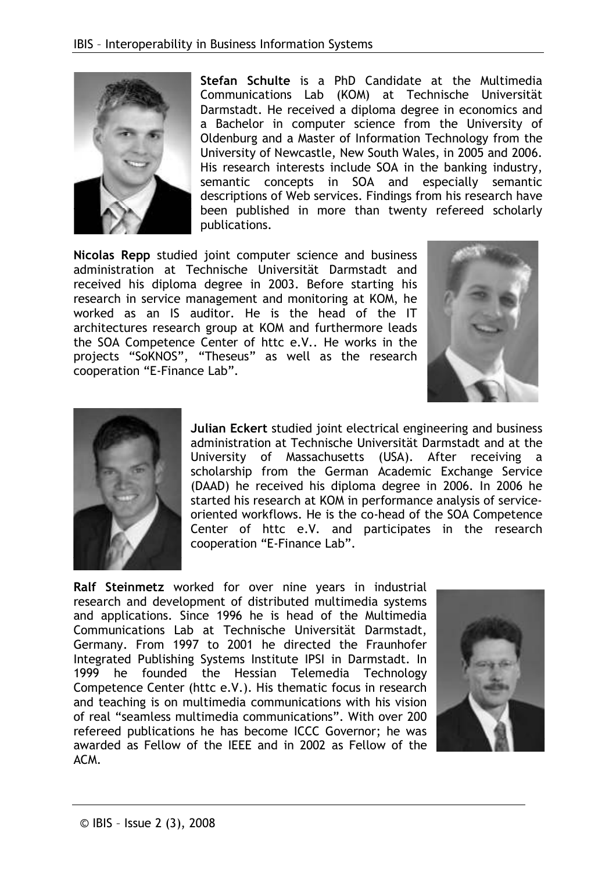

Stefan Schulte is a PhD Candidate at the Multimedia Communications Lab (KOM) at Technische Universität Darmstadt. He received a diploma degree in economics and a Bachelor in computer science from the University of Oldenburg and a Master of Information Technology from the University of Newcastle, New South Wales, in 2005 and 2006. His research interests include SOA in the banking industry, semantic concepts in SOA and especially semantic descriptions of Web services. Findings from his research have been published in more than twenty refereed scholarly publications.

Nicolas Repp studied joint computer science and business administration at Technische Universität Darmstadt and received his diploma degree in 2003. Before starting his research in service management and monitoring at KOM, he worked as an IS auditor. He is the head of the IT architectures research group at KOM and furthermore leads the SOA Competence Center of httc e.V.. He works in the projects "SoKNOS", "Theseus" as well as the research cooperation "E-Finance Lab".





Julian Eckert studied joint electrical engineering and business administration at Technische Universität Darmstadt and at the University of Massachusetts (USA). After receiving a scholarship from the German Academic Exchange Service (DAAD) he received his diploma degree in 2006. In 2006 he started his research at KOM in performance analysis of serviceoriented workflows. He is the co-head of the SOA Competence Center of httc e.V. and participates in the research cooperation "E-Finance Lab".

Ralf Steinmetz worked for over nine years in industrial research and development of distributed multimedia systems and applications. Since 1996 he is head of the Multimedia Communications Lab at Technische Universität Darmstadt. Germany. From 1997 to 2001 he directed the Fraunhofer Integrated Publishing Systems Institute IPSI in Darmstadt. In 1999 he founded the Hessian Telemedia Technology Competence Center (httc e.V.). His thematic focus in research and teaching is on multimedia communications with his vision of real "seamless multimedia communications". With over 200 refereed publications he has become ICCC Governor; he was awarded as Fellow of the IEEE and in 2002 as Fellow of the ACM.